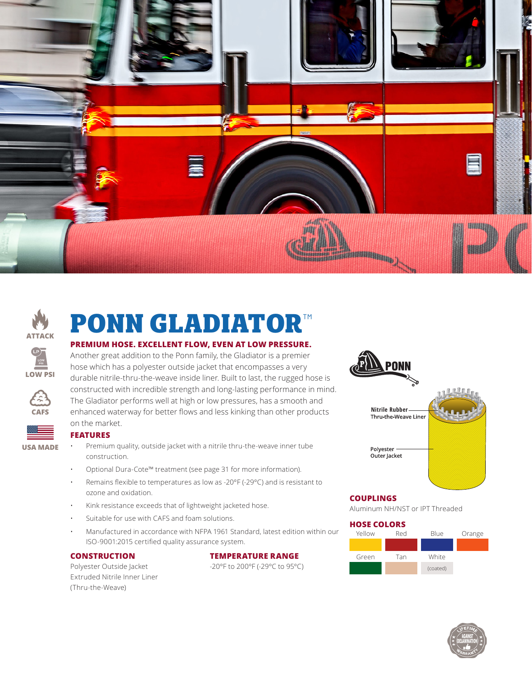



# **PONN GLADIATOR**™

#### **PREMIUM HOSE. EXCELLENT FLOW, EVEN AT LOW PRESSURE.**

Another great addition to the Ponn family, the Gladiator is a premier hose which has a polyester outside jacket that encompasses a very durable nitrile-thru-the-weave inside liner. Built to last, the rugged hose is constructed with incredible strength and long-lasting performance in mind. The Gladiator performs well at high or low pressures, has a smooth and enhanced waterway for better flows and less kinking than other products on the market.



**CAFS**

**LOW PSI**

# **FEATURES**

- Premium quality, outside jacket with a nitrile thru-the-weave inner tube construction.
- Optional Dura-Cote™ treatment (see page 31 for more information).
- Remains flexible to temperatures as low as -20ºF (-29ºC) and is resistant to ozone and oxidation.
- Kink resistance exceeds that of lightweight jacketed hose.
- Suitable for use with CAFS and foam solutions.
- Manufactured in accordance with NFPA 1961 Standard, latest edition within our ISO-9001:2015 certified quality assurance system.

## **CONSTRUCTION**

Polyester Outside Jacket Extruded Nitrile Inner Liner (Thru-the-Weave)

#### **TEMPERATURE RANGE**

-20ºF to 200ºF (-29ºC to 95ºC)



## **COUPLINGS**

Aluminum NH/NST or IPT Threaded